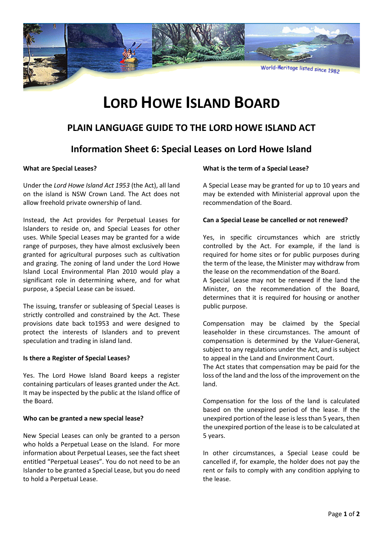

# **LORD HOWE ISLAND BOARD**

# **PLAIN LANGUAGE GUIDE TO THE LORD HOWE ISLAND ACT**

## **Information Sheet 6: Special Leases on Lord Howe Island**

### **What are Special Leases?**

Under the *Lord Howe Island Act 1953* (the Act), all land on the island is NSW Crown Land. The Act does not allow freehold private ownership of land.

Instead, the Act provides for Perpetual Leases for Islanders to reside on, and Special Leases for other uses. While Special Leases may be granted for a wide range of purposes, they have almost exclusively been granted for agricultural purposes such as cultivation and grazing. The zoning of land under the Lord Howe Island Local Environmental Plan 2010 would play a significant role in determining where, and for what purpose, a Special Lease can be issued.

The issuing, transfer or subleasing of Special Leases is strictly controlled and constrained by the Act. These provisions date back to1953 and were designed to protect the interests of Islanders and to prevent speculation and trading in island land.

#### **Is there a Register of Special Leases?**

Yes. The Lord Howe Island Board keeps a register containing particulars of leases granted under the Act. It may be inspected by the public at the Island office of the Board.

## **Who can be granted a new special lease?**

New Special Leases can only be granted to a person who holds a Perpetual Lease on the Island. For more information about Perpetual Leases, see the fact sheet entitled "Perpetual Leases". You do not need to be an Islander to be granted a Special Lease, but you do need to hold a Perpetual Lease.

### **What is the term of a Special Lease?**

A Special Lease may be granted for up to 10 years and may be extended with Ministerial approval upon the recommendation of the Board.

### **Can a Special Lease be cancelled or not renewed?**

Yes, in specific circumstances which are strictly controlled by the Act. For example, if the land is required for home sites or for public purposes during the term of the lease, the Minister may withdraw from the lease on the recommendation of the Board.

A Special Lease may not be renewed if the land the Minister, on the recommendation of the Board, determines that it is required for housing or another public purpose.

Compensation may be claimed by the Special leaseholder in these circumstances. The amount of compensation is determined by the Valuer-General, subject to any regulations under the Act, and is subject to appeal in the Land and Environment Court.

The Act states that compensation may be paid for the loss of the land and the loss of the improvement on the land.

Compensation for the loss of the land is calculated based on the unexpired period of the lease. If the unexpired portion of the lease is less than 5 years, then the unexpired portion of the lease is to be calculated at 5 years.

In other circumstances, a Special Lease could be cancelled if, for example, the holder does not pay the rent or fails to comply with any condition applying to the lease.